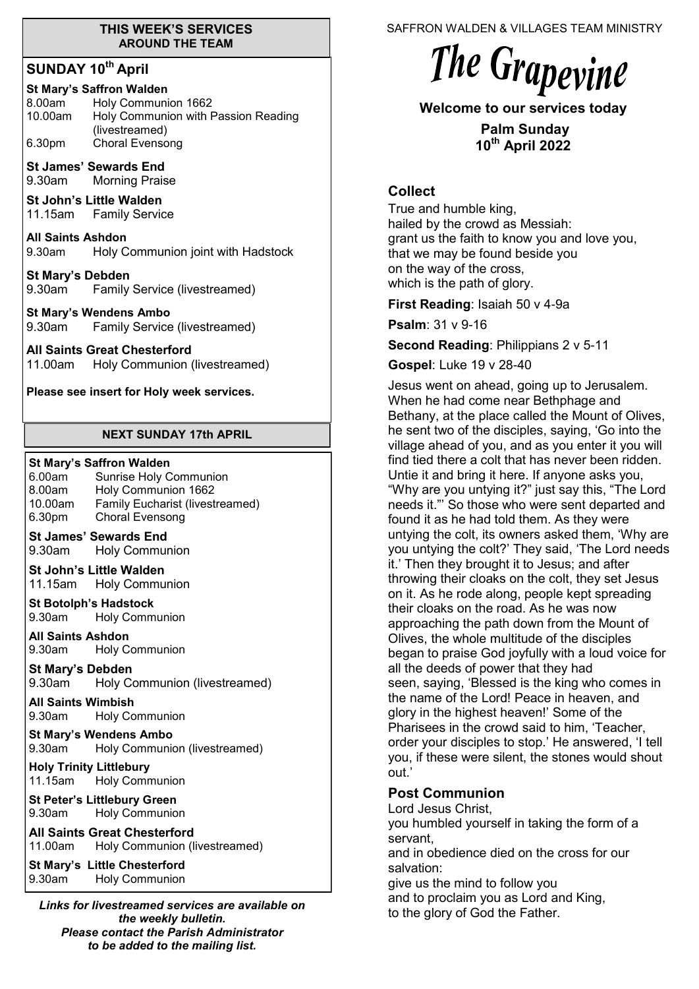#### **THIS WEEK'S SERVICES AROUND THE TEAM**

# **SUNDAY 10th April**

| <b>St Mary's Saffron Walden</b> |                                                       |  |
|---------------------------------|-------------------------------------------------------|--|
| 8.00am                          | Holy Communion 1662                                   |  |
| 10.00am                         | Holy Communion with Passion Reading<br>(livestreamed) |  |
| 6.30pm                          | Choral Evensong                                       |  |

**St James' Sewards End**  9.30am Morning Praise

**St John's Little Walden**  11.15am Family Service

**All Saints Ashdon**  9.30am Holy Communion joint with Hadstock

**St Mary's Debden** 9.30am Family Service (livestreamed)

**St Mary's Wendens Ambo** 9.30am Family Service (livestreamed)

#### **All Saints Great Chesterford**

11.00am Holy Communion (livestreamed)

**Please see insert for Holy week services.**

#### **NEXT SUNDAY 17th APRIL**

#### **St Mary's Saffron Walden**

6.00am Sunrise Holy Communion<br>8.00am Holy Communion 1662 Holy Communion 1662 10.00am Family Eucharist (livestreamed) 6.30pm Choral Evensong

- **St James' Sewards End**  9.30am Holy Communion
- **St John's Little Walden**  11.15am Holy Communion

**St Botolph's Hadstock**  9.30am Holy Communion

**All Saints Ashdon**  9.30am Holy Communion

**St Mary's Debden** 9.30am Holy Communion (livestreamed)

**All Saints Wimbish** 9.30am Holy Communion

**St Mary's Wendens Ambo** 9.30am Holy Communion (livestreamed)

**Holy Trinity Littlebury** 11.15am Holy Communion

**St Peter's Littlebury Green** 9.30am Holy Communion

#### **All Saints Great Chesterford**

11.00am Holy Communion (livestreamed)

**St Mary's Little Chesterford** 9.30am Holy Communion

*Links for livestreamed services are available on the weekly bulletin. Please contact the Parish Administrator to be added to the mailing list.*

SAFFRON WALDEN & VILLAGES TEAM MINISTRY

# The Grapevine

**Welcome to our services today** 

**Palm Sunday 10th April 2022**

### **Collect**

True and humble king, hailed by the crowd as Messiah: grant us the faith to know you and love you, that we may be found beside you on the way of the cross, which is the path of glory.

**First Reading**: Isaiah 50 v 4-9a

**Psalm**: 31 v 9-16

**Second Reading**: Philippians 2 v 5-11

**Gospel**: Luke 19 v 28-40

Jesus went on ahead, going up to Jerusalem. When he had come near Bethphage and Bethany, at the place called the Mount of Olives, he sent two of the disciples, saying, 'Go into the village ahead of you, and as you enter it you will find tied there a colt that has never been ridden. Untie it and bring it here. If anyone asks you, "Why are you untying it?" just say this, "The Lord needs it."' So those who were sent departed and found it as he had told them. As they were untying the colt, its owners asked them, 'Why are you untying the colt?' They said, 'The Lord needs it.' Then they brought it to Jesus; and after throwing their cloaks on the colt, they set Jesus on it. As he rode along, people kept spreading their cloaks on the road. As he was now approaching the path down from the Mount of Olives, the whole multitude of the disciples began to praise God joyfully with a loud voice for all the deeds of power that they had seen, saying, 'Blessed is the king who comes in the name of the Lord! Peace in heaven, and glory in the highest heaven!' Some of the Pharisees in the crowd said to him, 'Teacher, order your disciples to stop.' He answered, 'I tell you, if these were silent, the stones would shout out.'

# **Post Communion**

Lord Jesus Christ, you humbled yourself in taking the form of a servant, and in obedience died on the cross for our salvation: give us the mind to follow you and to proclaim you as Lord and King,

to the glory of God the Father.